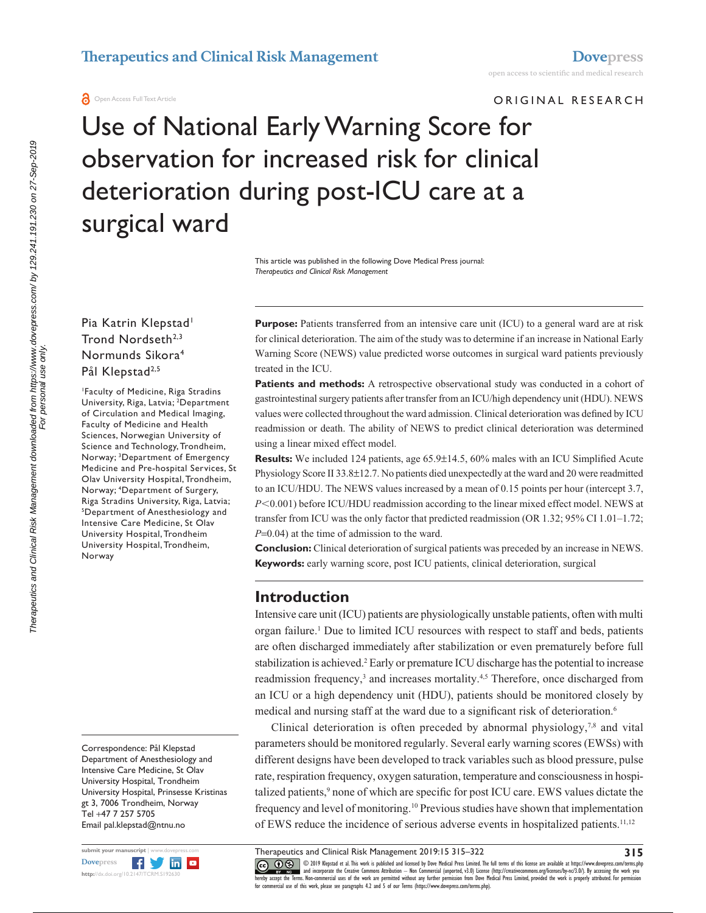**a** Open Access Full Text Article

ORIGINAL RESEARCH

Use of National Early Warning Score for observation for increased risk for clinical deterioration during post-ICU care at a surgical ward

> This article was published in the following Dove Medical Press journal: *Therapeutics and Clinical Risk Management*

### Pia Katrin Klepstad<sup>1</sup> Trond Nordseth<sup>2,3</sup> Normunds Sikora4 Pål Klepstad<sup>2,5</sup>

1 Faculty of Medicine, Riga Stradins University, Riga, Latvia; 2 Department of Circulation and Medical Imaging, Faculty of Medicine and Health Sciences, Norwegian University of Science and Technology, Trondheim, Norway; 3 Department of Emergency Medicine and Pre-hospital Services, St Olav University Hospital, Trondheim, Norway; 4 Department of Surgery, Riga Stradins University, Riga, Latvia; 5 Department of Anesthesiology and Intensive Care Medicine, St Olav University Hospital, Trondheim University Hospital, Trondheim, Norway

Correspondence: Pål Klepstad Department of Anesthesiology and Intensive Care Medicine, St Olav University Hospital, Trondheim University Hospital, Prinsesse Kristinas gt 3, 7006 Trondheim, Norway Tel +47 7 257 5705 Email [pal.klepstad@ntnu.no](mailto:pal.klepstad@ntnu.no)



**Purpose:** Patients transferred from an intensive care unit (ICU) to a general ward are at risk for clinical deterioration. The aim of the study was to determine if an increase in National Early Warning Score (NEWS) value predicted worse outcomes in surgical ward patients previously treated in the ICU.

**Patients and methods:** A retrospective observational study was conducted in a cohort of gastrointestinal surgery patients after transfer from an ICU/high dependency unit (HDU). NEWS values were collected throughout the ward admission. Clinical deterioration was defined by ICU readmission or death. The ability of NEWS to predict clinical deterioration was determined using a linear mixed effect model.

**Results:** We included 124 patients, age 65.9±14.5, 60% males with an ICU Simplified Acute Physiology Score II 33.8±12.7. No patients died unexpectedly at the ward and 20 were readmitted to an ICU/HDU. The NEWS values increased by a mean of 0.15 points per hour (intercept 3.7, *P* $\leq$ 0.001) before ICU/HDU readmission according to the linear mixed effect model. NEWS at transfer from ICU was the only factor that predicted readmission (OR 1.32; 95% CI 1.01–1.72; *P*=0.04) at the time of admission to the ward.

**Conclusion:** Clinical deterioration of surgical patients was preceded by an increase in NEWS. **Keywords:** early warning score, post ICU patients, clinical deterioration, surgical

## **Introduction**

Intensive care unit (ICU) patients are physiologically unstable patients, often with multi organ failure.<sup>1</sup> Due to limited ICU resources with respect to staff and beds, patients are often discharged immediately after stabilization or even prematurely before full stabilization is achieved.<sup>2</sup> Early or premature ICU discharge has the potential to increase readmission frequency,<sup>3</sup> and increases mortality.<sup>4,5</sup> Therefore, once discharged from an ICU or a high dependency unit (HDU), patients should be monitored closely by medical and nursing staff at the ward due to a significant risk of deterioration.<sup>6</sup>

Clinical deterioration is often preceded by abnormal physiology, $7,8$  and vital parameters should be monitored regularly. Several early warning scores (EWSs) with different designs have been developed to track variables such as blood pressure, pulse rate, respiration frequency, oxygen saturation, temperature and consciousness in hospitalized patients,<sup>9</sup> none of which are specific for post ICU care. EWS values dictate the frequency and level of monitoring.10 Previous studies have shown that implementation of EWS reduce the incidence of serious adverse events in hospitalized patients.<sup>11,12</sup>

Therapeutics and Clinical Risk Management 2019:15 315–322

CO OD 9 Reparad et al. This work is published and licensed by Dove Medical Press Limited. The full terms of this license are available at <https://www.dovepress.com/terms.php><br>[hereby accept the Terms](http://www.dovepress.com/permissions.php). Non-commercial uses of

**315**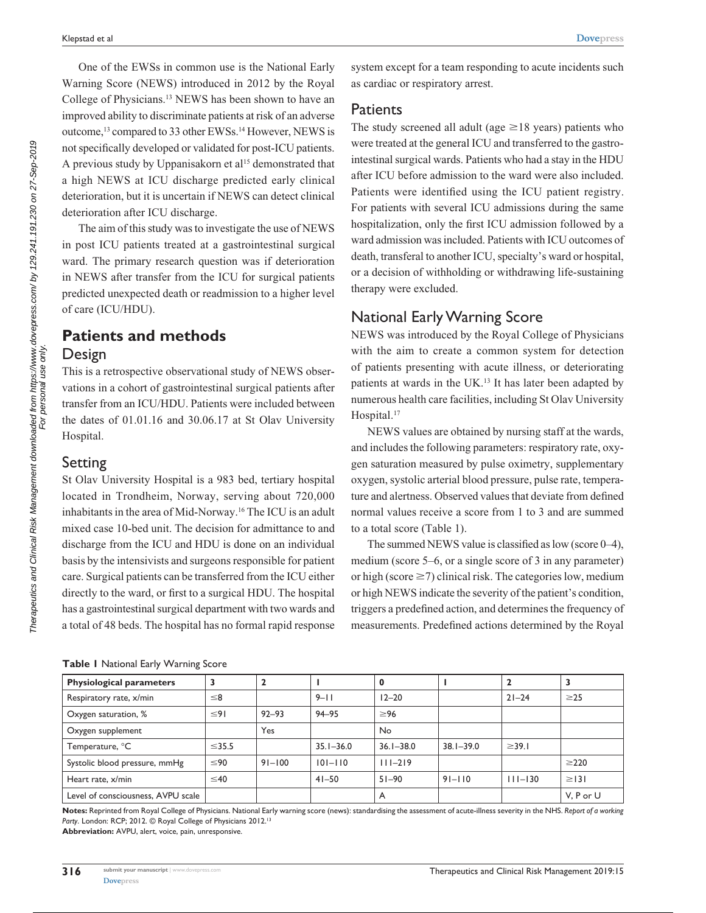One of the EWSs in common use is the National Early Warning Score (NEWS) introduced in 2012 by the Royal College of Physicians.13 NEWS has been shown to have an improved ability to discriminate patients at risk of an adverse outcome,13 compared to 33 other EWSs.14 However, NEWS is not specifically developed or validated for post-ICU patients. A previous study by Uppanisakorn et al<sup>15</sup> demonstrated that a high NEWS at ICU discharge predicted early clinical deterioration, but it is uncertain if NEWS can detect clinical deterioration after ICU discharge.

The aim of this study was to investigate the use of NEWS in post ICU patients treated at a gastrointestinal surgical ward. The primary research question was if deterioration in NEWS after transfer from the ICU for surgical patients predicted unexpected death or readmission to a higher level of care (ICU/HDU).

# **Patients and methods**

#### Design

This is a retrospective observational study of NEWS observations in a cohort of gastrointestinal surgical patients after transfer from an ICU/HDU. Patients were included between the dates of 01.01.16 and 30.06.17 at St Olav University Hospital.

### Setting

St Olav University Hospital is a 983 bed, tertiary hospital located in Trondheim, Norway, serving about 720,000 inhabitants in the area of Mid-Norway.16 The ICU is an adult mixed case 10-bed unit. The decision for admittance to and discharge from the ICU and HDU is done on an individual basis by the intensivists and surgeons responsible for patient care. Surgical patients can be transferred from the ICU either directly to the ward, or first to a surgical HDU. The hospital has a gastrointestinal surgical department with two wards and a total of 48 beds. The hospital has no formal rapid response

|  |  |  |  | Table I National Early Warning Score |  |
|--|--|--|--|--------------------------------------|--|
|--|--|--|--|--------------------------------------|--|

system except for a team responding to acute incidents such as cardiac or respiratory arrest.

### **Patients**

The study screened all adult (age  $\geq$  18 years) patients who were treated at the general ICU and transferred to the gastrointestinal surgical wards. Patients who had a stay in the HDU after ICU before admission to the ward were also included. Patients were identified using the ICU patient registry. For patients with several ICU admissions during the same hospitalization, only the first ICU admission followed by a ward admission was included. Patients with ICU outcomes of death, transferal to another ICU, specialty's ward or hospital, or a decision of withholding or withdrawing life-sustaining therapy were excluded.

## National Early Warning Score

NEWS was introduced by the Royal College of Physicians with the aim to create a common system for detection of patients presenting with acute illness, or deteriorating patients at wards in the UK.<sup>13</sup> It has later been adapted by numerous health care facilities, including St Olav University Hospital.<sup>17</sup>

NEWS values are obtained by nursing staff at the wards, and includes the following parameters: respiratory rate, oxygen saturation measured by pulse oximetry, supplementary oxygen, systolic arterial blood pressure, pulse rate, temperature and alertness. Observed values that deviate from defined normal values receive a score from 1 to 3 and are summed to a total score (Table 1).

The summed NEWS value is classified as low (score 0–4), medium (score 5–6, or a single score of 3 in any parameter) or high (score  $\geq$ 7) clinical risk. The categories low, medium or high NEWS indicate the severity of the patient's condition, triggers a predefined action, and determines the frequency of measurements. Predefined actions determined by the Royal

| <b>Physiological parameters</b>    | 3           |            |               | 0             |               |             |            |
|------------------------------------|-------------|------------|---------------|---------------|---------------|-------------|------------|
| Respiratory rate, x/min            | $\leq 8$    |            | $9 - 11$      | $12 - 20$     |               | $21 - 24$   | $\geq$ 25  |
| Oxygen saturation, %               | $\leq 91$   | $92 - 93$  | 94-95         | $\geq 96$     |               |             |            |
| Oxygen supplement                  |             | Yes        |               | No            |               |             |            |
| Temperature, °C                    | $\leq$ 35.5 |            | $35.1 - 36.0$ | $36.1 - 38.0$ | $38.1 - 39.0$ | $\geq$ 39.1 |            |
| Systolic blood pressure, mmHg      | ≤90         | $91 - 100$ | $ 0 - 10 $    | $111 - 219$   |               |             | $\geq$ 220 |
| Heart rate, x/min                  | $\leq 40$   |            | $41 - 50$     | $51 - 90$     | $91 - 110$    | $111 - 30$  | $\geq$ 131 |
| Level of consciousness, AVPU scale |             |            |               | A             |               |             | V. P or U  |

**Notes:** Reprinted from Royal College of Physicians. National Early warning score (news): standardising the assessment of acute-illness severity in the NHS. *Report of a working*  Party. London: RCP; 2012. © Royal College of Physicians 2012.<sup>13</sup> **Abbreviation:** AVPU, alert, voice, pain, unresponsive.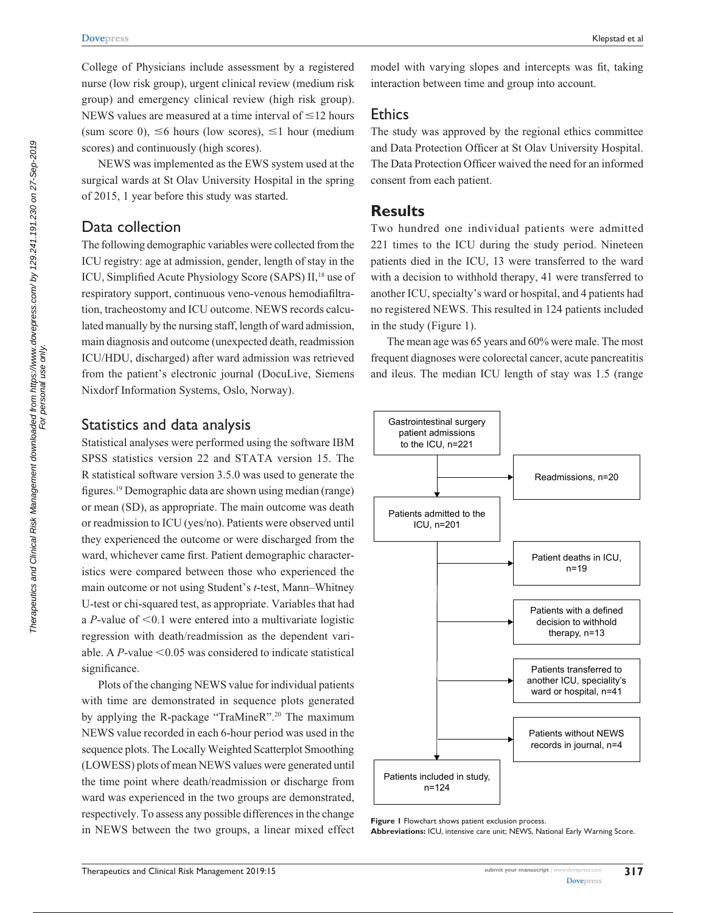College of Physicians include assessment by a registered nurse (low risk group), urgent clinical review (medium risk group) and emergency clinical review (high risk group). NEWS values are measured at a time interval of  $\leq$ 12 hours (sum score 0),  $\leq 6$  hours (low scores),  $\leq 1$  hour (medium scores) and continuously (high scores).

NEWS was implemented as the EWS system used at the surgical wards at St Olav University Hospital in the spring of 2015, 1 year before this study was started.

#### Data collection

The following demographic variables were collected from the ICU registry: age at admission, gender, length of stay in the ICU, Simplified Acute Physiology Score (SAPS) II,<sup>18</sup> use of respiratory support, continuous veno-venous hemodiafiltration, tracheostomy and ICU outcome. NEWS records calculated manually by the nursing staff, length of ward admission, main diagnosis and outcome (unexpected death, readmission ICU/HDU, discharged) after ward admission was retrieved from the patient's electronic journal (DocuLive, Siemens Nixdorf Information Systems, Oslo, Norway).

#### Statistics and data analysis

Statistical analyses were performed using the software IBM SPSS statistics version 22 and STATA version 15. The R statistical software version 3.5.0 was used to generate the figures.19 Demographic data are shown using median (range) or mean (SD), as appropriate. The main outcome was death or readmission to ICU (yes/no). Patients were observed until they experienced the outcome or were discharged from the ward, whichever came first. Patient demographic characteristics were compared between those who experienced the main outcome or not using Student's *t*-test, Mann–Whitney U-test or chi-squared test, as appropriate. Variables that had a  $P$ -value of  $\leq 0.1$  were entered into a multivariate logistic regression with death/readmission as the dependent variable. A  $P$ -value  $< 0.05$  was considered to indicate statistical significance.

Plots of the changing NEWS value for individual patients with time are demonstrated in sequence plots generated by applying the R-package "TraMineR".20 The maximum NEWS value recorded in each 6-hour period was used in the sequence plots. The Locally Weighted Scatterplot Smoothing (LOWESS) plots of mean NEWS values were generated until the time point where death/readmission or discharge from ward was experienced in the two groups are demonstrated, respectively. To assess any possible differences in the change in NEWS between the two groups, a linear mixed effect model with varying slopes and intercepts was fit, taking interaction between time and group into account.

#### **Ethics**

The study was approved by the regional ethics committee and Data Protection Officer at St Olav University Hospital. The Data Protection Officer waived the need for an informed consent from each patient.

#### **Results**

Two hundred one individual patients were admitted 221 times to the ICU during the study period. Nineteen patients died in the ICU, 13 were transferred to the ward with a decision to withhold therapy, 41 were transferred to another ICU, specialty's ward or hospital, and 4 patients had no registered NEWS. This resulted in 124 patients included in the study (Figure 1).

The mean age was 65 years and 60% were male. The most frequent diagnoses were colorectal cancer, acute pancreatitis and ileus. The median ICU length of stay was 1.5 (range



**Figure 1** Flowchart shows patient exclusion process. **Abbreviations:** ICU, intensive care unit; NEWS, National Early Warning Score.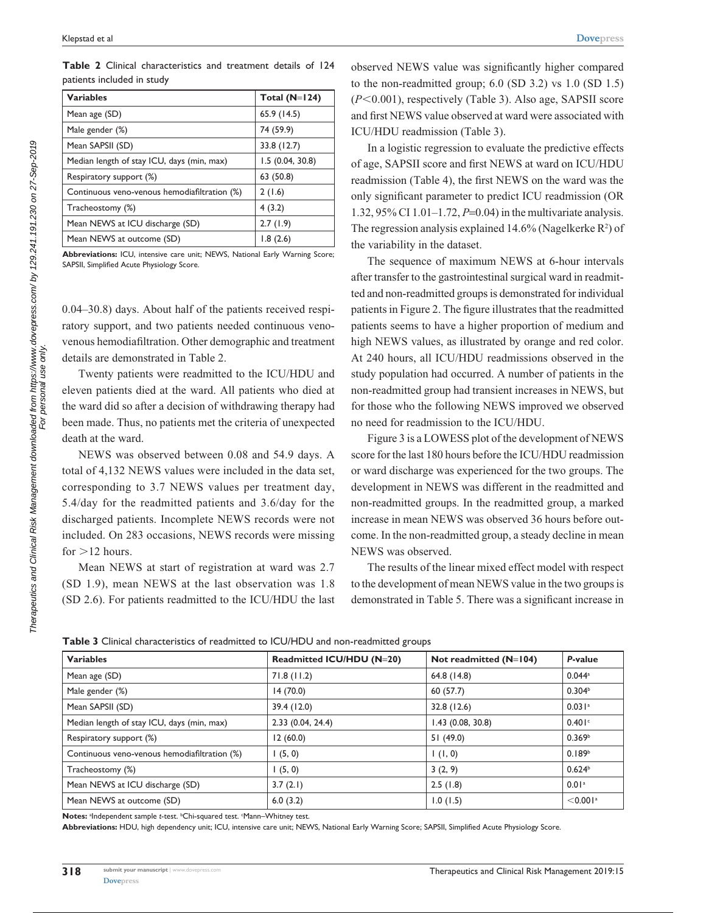| <b>Variables</b>                             | Total ( $N=124$ ) |
|----------------------------------------------|-------------------|
| Mean age (SD)                                | 65.9(14.5)        |
| Male gender (%)                              | 74 (59.9)         |
| Mean SAPSII (SD)                             | 33.8 (12.7)       |
| Median length of stay ICU, days (min, max)   | 1.5(0.04, 30.8)   |
| Respiratory support (%)                      | 63 (50.8)         |
| Continuous veno-venous hemodiafiltration (%) | 2(1.6)            |
| Tracheostomy (%)                             | 4(3.2)            |
| Mean NEWS at ICU discharge (SD)              | 2.7(1.9)          |
| Mean NEWS at outcome (SD)                    | 1.8(2.6)          |

**Table 2** Clinical characteristics and treatment details of 124 patients included in study

**Abbreviations:** ICU, intensive care unit; NEWS, National Early Warning Score; SAPSII, Simplified Acute Physiology Score.

0.04–30.8) days. About half of the patients received respiratory support, and two patients needed continuous venovenous hemodiafiltration. Other demographic and treatment details are demonstrated in Table 2.

Twenty patients were readmitted to the ICU/HDU and eleven patients died at the ward. All patients who died at the ward did so after a decision of withdrawing therapy had been made. Thus, no patients met the criteria of unexpected death at the ward.

NEWS was observed between 0.08 and 54.9 days. A total of 4,132 NEWS values were included in the data set, corresponding to 3.7 NEWS values per treatment day, 5.4/day for the readmitted patients and 3.6/day for the discharged patients. Incomplete NEWS records were not included. On 283 occasions, NEWS records were missing for  $>12$  hours.

Mean NEWS at start of registration at ward was 2.7 (SD 1.9), mean NEWS at the last observation was 1.8 (SD 2.6). For patients readmitted to the ICU/HDU the last observed NEWS value was significantly higher compared to the non-readmitted group;  $6.0$  (SD 3.2) vs  $1.0$  (SD  $1.5$ ) (*P*<0.001), respectively (Table 3). Also age, SAPSII score and first NEWS value observed at ward were associated with ICU/HDU readmission (Table 3).

In a logistic regression to evaluate the predictive effects of age, SAPSII score and first NEWS at ward on ICU/HDU readmission (Table 4), the first NEWS on the ward was the only significant parameter to predict ICU readmission (OR 1.32, 95% CI 1.01–1.72, *P*=0.04) in the multivariate analysis. The regression analysis explained  $14.6\%$  (Nagelkerke R<sup>2</sup>) of the variability in the dataset.

The sequence of maximum NEWS at 6-hour intervals after transfer to the gastrointestinal surgical ward in readmitted and non-readmitted groups is demonstrated for individual patients in Figure 2. The figure illustrates that the readmitted patients seems to have a higher proportion of medium and high NEWS values, as illustrated by orange and red color. At 240 hours, all ICU/HDU readmissions observed in the study population had occurred. A number of patients in the non-readmitted group had transient increases in NEWS, but for those who the following NEWS improved we observed no need for readmission to the ICU/HDU.

Figure 3 is a LOWESS plot of the development of NEWS score for the last 180 hours before the ICU/HDU readmission or ward discharge was experienced for the two groups. The development in NEWS was different in the readmitted and non-readmitted groups. In the readmitted group, a marked increase in mean NEWS was observed 36 hours before outcome. In the non-readmitted group, a steady decline in mean NEWS was observed.

The results of the linear mixed effect model with respect to the development of mean NEWS value in the two groups is demonstrated in Table 5. There was a significant increase in

|  |  |  |  |  |  |  |  | Table 3 Clinical characteristics of readmitted to ICU/HDU and non-readmitted groups |  |  |
|--|--|--|--|--|--|--|--|-------------------------------------------------------------------------------------|--|--|
|--|--|--|--|--|--|--|--|-------------------------------------------------------------------------------------|--|--|

| <b>Variables</b>                             | Readmitted ICU/HDU (N=20) | Not readmitted $(N=104)$ | P-value               |
|----------------------------------------------|---------------------------|--------------------------|-----------------------|
| Mean age (SD)                                | 71.8(11.2)                | 64.8 (14.8)              | $0.044$ <sup>a</sup>  |
| Male gender (%)                              | 14(70.0)                  | 60(57.7)                 | 0.304 <sup>b</sup>    |
| Mean SAPSII (SD)                             | 39.4 (12.0)               | 32.8(12.6)               | $0.031$ <sup>a</sup>  |
| Median length of stay ICU, days (min, max)   | 2.33(0.04, 24.4)          | 1.43(0.08, 30.8)         | 0.401c                |
| Respiratory support (%)                      | 12(60.0)                  | 51(49.0)                 | 0.369 <sup>b</sup>    |
| Continuous veno-venous hemodiafiltration (%) | 1(5, 0)                   | (1, 0)                   | 0.189 <sup>b</sup>    |
| Tracheostomy (%)                             | 1(5, 0)                   | 3(2, 9)                  | 0.624 <sup>b</sup>    |
| Mean NEWS at ICU discharge (SD)              | 3.7(2.1)                  | 2.5(1.8)                 | 0.01 <sup>a</sup>     |
| Mean NEWS at outcome (SD)                    | 6.0(3.2)                  | 1.0(1.5)                 | $<$ 0.00   $^{\circ}$ |

Notes: <sup>a</sup>Independent sample *t*-test. <sup>b</sup>Chi-squared test. <sup>c</sup>Mann–Whitney test.

**Abbreviations:** HDU, high dependency unit; ICU, intensive care unit; NEWS, National Early Warning Score; SAPSII, Simplified Acute Physiology Score.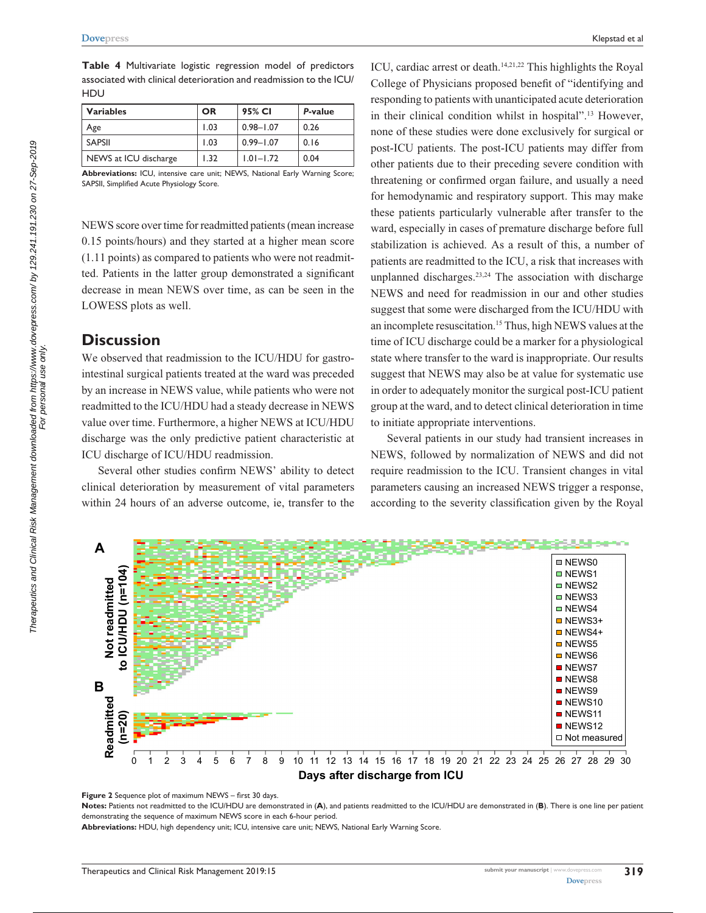**Table 4** Multivariate logistic regression model of predictors associated with clinical deterioration and readmission to the ICU/ **HDU** 

| <b>Variables</b>      | <b>OR</b> | 95% CI        | P-value |
|-----------------------|-----------|---------------|---------|
| Age                   | 1.03      | $0.98 - 1.07$ | 0.26    |
| <b>SAPSII</b>         | 1.03      | $0.99 - 1.07$ | 0.16    |
| NEWS at ICU discharge | 1.32      | $1.01 - 1.72$ | 0.04    |

**Abbreviations:** ICU, intensive care unit; NEWS, National Early Warning Score; SAPSII, Simplified Acute Physiology Score.

NEWS score over time for readmitted patients (mean increase 0.15 points/hours) and they started at a higher mean score (1.11 points) as compared to patients who were not readmitted. Patients in the latter group demonstrated a significant decrease in mean NEWS over time, as can be seen in the LOWESS plots as well.

#### **Discussion**

We observed that readmission to the ICU/HDU for gastrointestinal surgical patients treated at the ward was preceded by an increase in NEWS value, while patients who were not readmitted to the ICU/HDU had a steady decrease in NEWS value over time. Furthermore, a higher NEWS at ICU/HDU discharge was the only predictive patient characteristic at ICU discharge of ICU/HDU readmission.

Several other studies confirm NEWS' ability to detect clinical deterioration by measurement of vital parameters within 24 hours of an adverse outcome, ie, transfer to the

ICU, cardiac arrest or death.<sup>14,21,22</sup> This highlights the Royal College of Physicians proposed benefit of "identifying and responding to patients with unanticipated acute deterioration in their clinical condition whilst in hospital".13 However, none of these studies were done exclusively for surgical or post-ICU patients. The post-ICU patients may differ from other patients due to their preceding severe condition with threatening or confirmed organ failure, and usually a need for hemodynamic and respiratory support. This may make these patients particularly vulnerable after transfer to the ward, especially in cases of premature discharge before full stabilization is achieved. As a result of this, a number of patients are readmitted to the ICU, a risk that increases with unplanned discharges.<sup>23,24</sup> The association with discharge NEWS and need for readmission in our and other studies suggest that some were discharged from the ICU/HDU with an incomplete resuscitation.15 Thus, high NEWS values at the time of ICU discharge could be a marker for a physiological state where transfer to the ward is inappropriate. Our results suggest that NEWS may also be at value for systematic use in order to adequately monitor the surgical post-ICU patient group at the ward, and to detect clinical deterioration in time to initiate appropriate interventions.

Several patients in our study had transient increases in NEWS, followed by normalization of NEWS and did not require readmission to the ICU. Transient changes in vital parameters causing an increased NEWS trigger a response, according to the severity classification given by the Royal



**Figure 2** Sequence plot of maximum NEWS – first 30 days.

**Notes:** Patients not readmitted to the ICU/HDU are demonstrated in (**A**), and patients readmitted to the ICU/HDU are demonstrated in (**B**). There is one line per patient demonstrating the sequence of maximum NEWS score in each 6-hour period.

**Abbreviations:** HDU, high dependency unit; ICU, intensive care unit; NEWS, National Early Warning Score.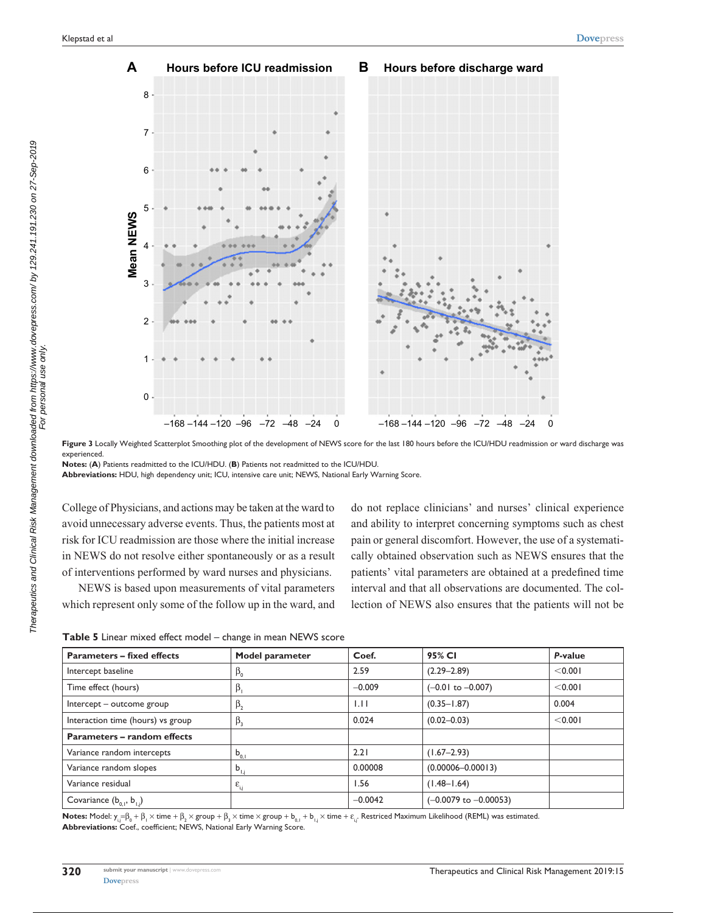

**Figure 3** Locally Weighted Scatterplot Smoothing plot of the development of NEWS score for the last 180 hours before the ICU/HDU readmission or ward discharge was experienced.

**Notes:** (**A**) Patients readmitted to the ICU/HDU. (**B**) Patients not readmitted to the ICU/HDU.

**Abbreviations:** HDU, high dependency unit; ICU, intensive care unit; NEWS, National Early Warning Score.

College of Physicians, and actions may be taken at the ward to avoid unnecessary adverse events. Thus, the patients most at risk for ICU readmission are those where the initial increase in NEWS do not resolve either spontaneously or as a result of interventions performed by ward nurses and physicians.

NEWS is based upon measurements of vital parameters which represent only some of the follow up in the ward, and do not replace clinicians' and nurses' clinical experience and ability to interpret concerning symptoms such as chest pain or general discomfort. However, the use of a systematically obtained observation such as NEWS ensures that the patients' vital parameters are obtained at a predefined time interval and that all observations are documented. The collection of NEWS also ensures that the patients will not be

| <b>Table 5</b> Linear mixed effect model – change in mean NEWS score |  |
|----------------------------------------------------------------------|--|
|----------------------------------------------------------------------|--|

| <b>Parameters - fixed effects</b>  | Model parameter     | Coef.     | 95% CI                    | P-value |
|------------------------------------|---------------------|-----------|---------------------------|---------|
| Intercept baseline                 | $\beta_0$           | 2.59      | $(2.29 - 2.89)$           | < 0.001 |
| Time effect (hours)                | Þ.                  | $-0.009$  | $(-0.01$ to $-0.007)$     | < 0.001 |
| Intercept - outcome group          | $\beta_{2}$         | 1.11      | $(0.35 - 1.87)$           | 0.004   |
| Interaction time (hours) vs group  | $\beta_{3}$         | 0.024     | $(0.02 - 0.03)$           | < 0.001 |
| <b>Parameters – random effects</b> |                     |           |                           |         |
| Variance random intercepts         | $b_{0,1}$           | 2.21      | $(1.67 - 2.93)$           |         |
| Variance random slopes             | $\mathbf{b}_{1}$    | 0.00008   | $(0.00006 - 0.00013)$     |         |
| Variance residual                  | $\epsilon_{\rm ij}$ | 1.56      | $(1.48 - 1.64)$           |         |
| Covariance $(b_{0,1}, b_{1,2})$    |                     | $-0.0042$ | $(-0.0079$ to $-0.00053)$ |         |

**Notes:** Model:  $y_{ij} = \beta_0 + \beta_1 \times \text{time} + \beta_2 \times \text{group} + \beta_3 \times \text{time} \times \text{group} + b_{0,1} + b_{1,j} \times \text{time} + \varepsilon_{ij}$ . Restriced Maximum Likelihood (REML) was estimated. **Abbreviations:** Coef., coefficient; NEWS, National Early Warning Score.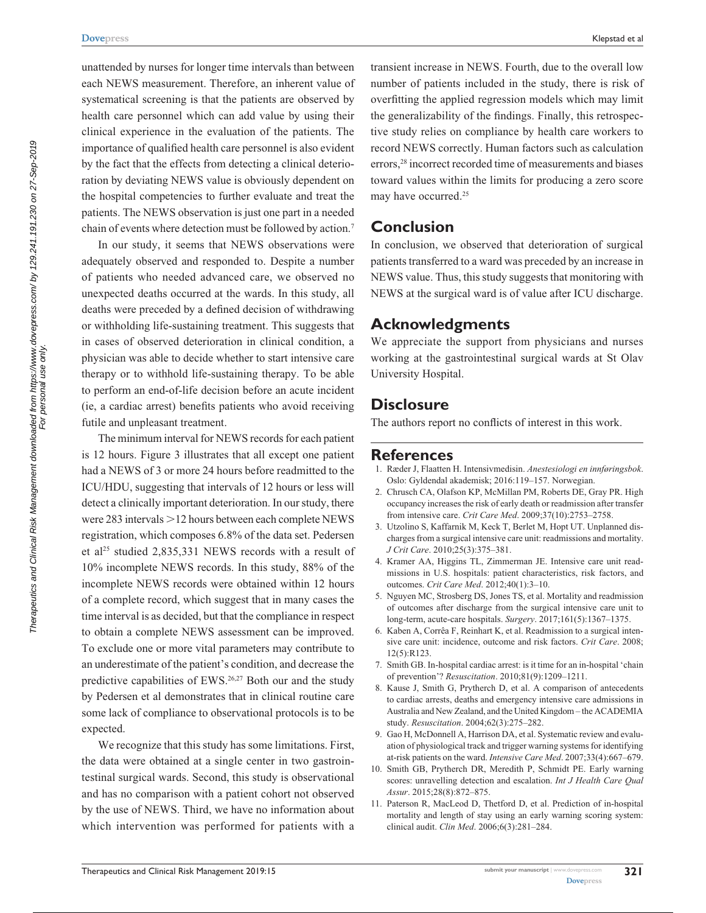unattended by nurses for longer time intervals than between each NEWS measurement. Therefore, an inherent value of systematical screening is that the patients are observed by health care personnel which can add value by using their clinical experience in the evaluation of the patients. The importance of qualified health care personnel is also evident by the fact that the effects from detecting a clinical deterioration by deviating NEWS value is obviously dependent on the hospital competencies to further evaluate and treat the patients. The NEWS observation is just one part in a needed chain of events where detection must be followed by action.7

In our study, it seems that NEWS observations were adequately observed and responded to. Despite a number of patients who needed advanced care, we observed no unexpected deaths occurred at the wards. In this study, all deaths were preceded by a defined decision of withdrawing or withholding life-sustaining treatment. This suggests that in cases of observed deterioration in clinical condition, a physician was able to decide whether to start intensive care therapy or to withhold life-sustaining therapy. To be able to perform an end-of-life decision before an acute incident (ie, a cardiac arrest) benefits patients who avoid receiving futile and unpleasant treatment.

The minimum interval for NEWS records for each patient is 12 hours. Figure 3 illustrates that all except one patient had a NEWS of 3 or more 24 hours before readmitted to the ICU/HDU, suggesting that intervals of 12 hours or less will detect a clinically important deterioration. In our study, there were 283 intervals > 12 hours between each complete NEWS registration, which composes 6.8% of the data set. Pedersen et al<sup>25</sup> studied 2,835,331 NEWS records with a result of 10% incomplete NEWS records. In this study, 88% of the incomplete NEWS records were obtained within 12 hours of a complete record, which suggest that in many cases the time interval is as decided, but that the compliance in respect to obtain a complete NEWS assessment can be improved. To exclude one or more vital parameters may contribute to an underestimate of the patient's condition, and decrease the predictive capabilities of EWS.26,27 Both our and the study by Pedersen et al demonstrates that in clinical routine care some lack of compliance to observational protocols is to be expected.

We recognize that this study has some limitations. First, the data were obtained at a single center in two gastrointestinal surgical wards. Second, this study is observational and has no comparison with a patient cohort not observed by the use of NEWS. Third, we have no information about which intervention was performed for patients with a

transient increase in NEWS. Fourth, due to the overall low number of patients included in the study, there is risk of overfitting the applied regression models which may limit the generalizability of the findings. Finally, this retrospective study relies on compliance by health care workers to record NEWS correctly. Human factors such as calculation errors,<sup>28</sup> incorrect recorded time of measurements and biases toward values within the limits for producing a zero score may have occurred.25

#### **Conclusion**

In conclusion, we observed that deterioration of surgical patients transferred to a ward was preceded by an increase in NEWS value. Thus, this study suggests that monitoring with NEWS at the surgical ward is of value after ICU discharge.

#### **Acknowledgments**

We appreciate the support from physicians and nurses working at the gastrointestinal surgical wards at St Olav University Hospital.

## **Disclosure**

The authors report no conflicts of interest in this work.

#### **References**

- 1. Ræder J, Flaatten H. Intensivmedisin. *Anestesiologi en innføringsbok*. Oslo: Gyldendal akademisk; 2016:119–157. Norwegian.
- 2. Chrusch CA, Olafson KP, McMillan PM, Roberts DE, Gray PR. High occupancy increases the risk of early death or readmission after transfer from intensive care. *Crit Care Med*. 2009;37(10):2753–2758.
- 3. Utzolino S, Kaffarnik M, Keck T, Berlet M, Hopt UT. Unplanned discharges from a surgical intensive care unit: readmissions and mortality. *J Crit Care*. 2010;25(3):375–381.
- 4. Kramer AA, Higgins TL, Zimmerman JE. Intensive care unit readmissions in U.S. hospitals: patient characteristics, risk factors, and outcomes. *Crit Care Med*. 2012;40(1):3–10.
- 5. Nguyen MC, Strosberg DS, Jones TS, et al. Mortality and readmission of outcomes after discharge from the surgical intensive care unit to long-term, acute-care hospitals. *Surgery*. 2017;161(5):1367–1375.
- 6. Kaben A, Corrêa F, Reinhart K, et al. Readmission to a surgical intensive care unit: incidence, outcome and risk factors. *Crit Care*. 2008; 12(5):R123.
- 7. Smith GB. In-hospital cardiac arrest: is it time for an in-hospital 'chain of prevention'? *Resuscitation*. 2010;81(9):1209–1211.
- 8. Kause J, Smith G, Prytherch D, et al. A comparison of antecedents to cardiac arrests, deaths and emergency intensive care admissions in Australia and New Zealand, and the United Kingdom – the ACADEMIA study. *Resuscitation*. 2004;62(3):275–282.
- 9. Gao H, McDonnell A, Harrison DA, et al. Systematic review and evaluation of physiological track and trigger warning systems for identifying at-risk patients on the ward. *Intensive Care Med*. 2007;33(4):667–679.
- 10. Smith GB, Prytherch DR, Meredith P, Schmidt PE. Early warning scores: unravelling detection and escalation. *Int J Health Care Qual Assur*. 2015;28(8):872–875.
- 11. Paterson R, MacLeod D, Thetford D, et al. Prediction of in-hospital mortality and length of stay using an early warning scoring system: clinical audit. *Clin Med*. 2006;6(3):281–284.